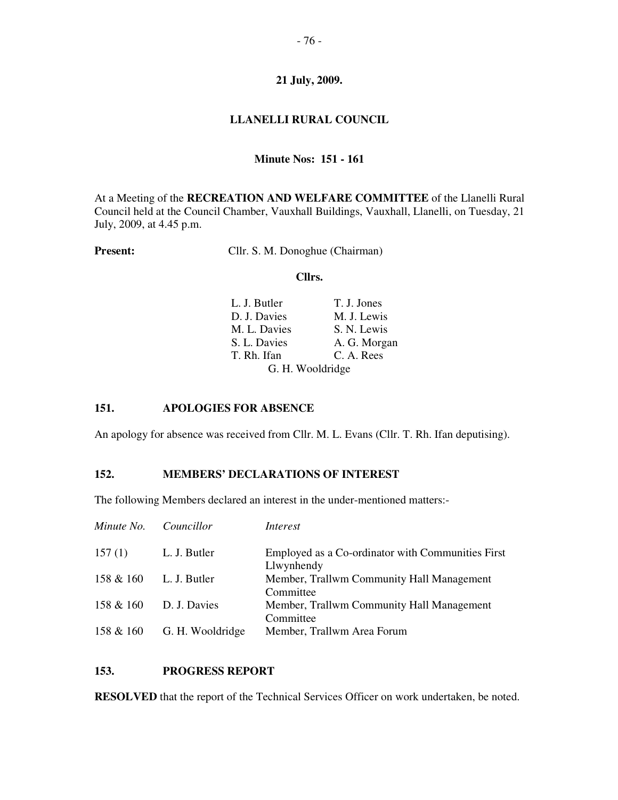# **LLANELLI RURAL COUNCIL**

## **Minute Nos: 151 - 161**

At a Meeting of the **RECREATION AND WELFARE COMMITTEE** of the Llanelli Rural Council held at the Council Chamber, Vauxhall Buildings, Vauxhall, Llanelli, on Tuesday, 21 July, 2009, at 4.45 p.m.

**Present:** Cllr. S. M. Donoghue (Chairman)

#### **Cllrs.**

| L. J. Butler     | T. J. Jones  |
|------------------|--------------|
| D. J. Davies     | M. J. Lewis  |
| M. L. Davies     | S. N. Lewis  |
| S. L. Davies     | A. G. Morgan |
| T. Rh. Ifan      | C. A. Rees   |
| G. H. Wooldridge |              |

# **151. APOLOGIES FOR ABSENCE**

An apology for absence was received from Cllr. M. L. Evans (Cllr. T. Rh. Ifan deputising).

## **152. MEMBERS' DECLARATIONS OF INTEREST**

The following Members declared an interest in the under-mentioned matters:-

| Minute No. | Councillor       | Interest                                                        |
|------------|------------------|-----------------------------------------------------------------|
| 157(1)     | L. J. Butler     | Employed as a Co-ordinator with Communities First<br>Llwynhendy |
| 158 & 160  | L. J. Butler     | Member, Trallwm Community Hall Management<br>Committee          |
| 158 & 160  | D. J. Davies     | Member, Trallwm Community Hall Management<br>Committee          |
| 158 & 160  | G. H. Wooldridge | Member, Trallwm Area Forum                                      |

## **153. PROGRESS REPORT**

**RESOLVED** that the report of the Technical Services Officer on work undertaken, be noted.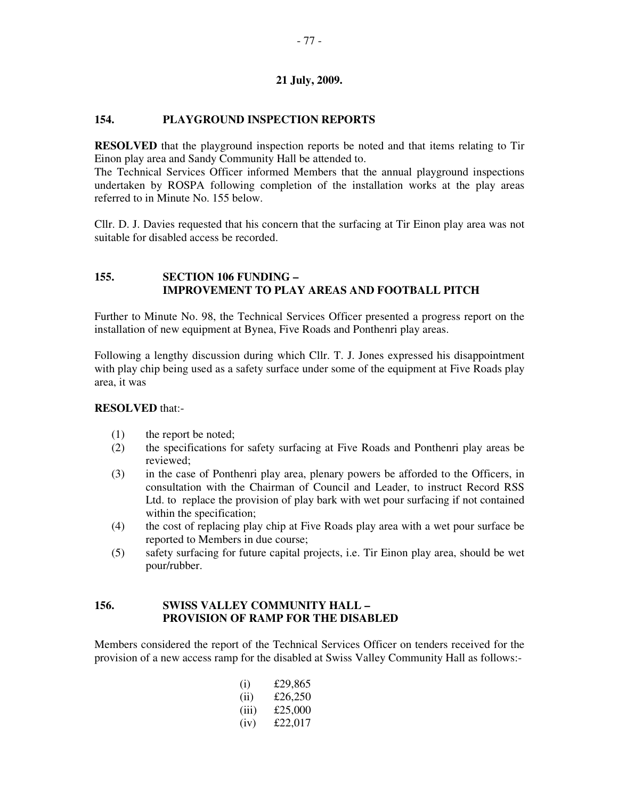# **154. PLAYGROUND INSPECTION REPORTS**

**RESOLVED** that the playground inspection reports be noted and that items relating to Tir Einon play area and Sandy Community Hall be attended to.

The Technical Services Officer informed Members that the annual playground inspections undertaken by ROSPA following completion of the installation works at the play areas referred to in Minute No. 155 below.

Cllr. D. J. Davies requested that his concern that the surfacing at Tir Einon play area was not suitable for disabled access be recorded.

## **155. SECTION 106 FUNDING – IMPROVEMENT TO PLAY AREAS AND FOOTBALL PITCH**

Further to Minute No. 98, the Technical Services Officer presented a progress report on the installation of new equipment at Bynea, Five Roads and Ponthenri play areas.

Following a lengthy discussion during which Cllr. T. J. Jones expressed his disappointment with play chip being used as a safety surface under some of the equipment at Five Roads play area, it was

## **RESOLVED** that:-

- (1) the report be noted;
- (2) the specifications for safety surfacing at Five Roads and Ponthenri play areas be reviewed;
- (3) in the case of Ponthenri play area, plenary powers be afforded to the Officers, in consultation with the Chairman of Council and Leader, to instruct Record RSS Ltd. to replace the provision of play bark with wet pour surfacing if not contained within the specification;
- (4) the cost of replacing play chip at Five Roads play area with a wet pour surface be reported to Members in due course;
- (5) safety surfacing for future capital projects, i.e. Tir Einon play area, should be wet pour/rubber.

# **156. SWISS VALLEY COMMUNITY HALL – PROVISION OF RAMP FOR THE DISABLED**

Members considered the report of the Technical Services Officer on tenders received for the provision of a new access ramp for the disabled at Swiss Valley Community Hall as follows:-

| $\rm(i)$ | £29,865 |
|----------|---------|
| (i)      | £26,250 |
| (iii)    | £25,000 |
| (iv)     | £22.017 |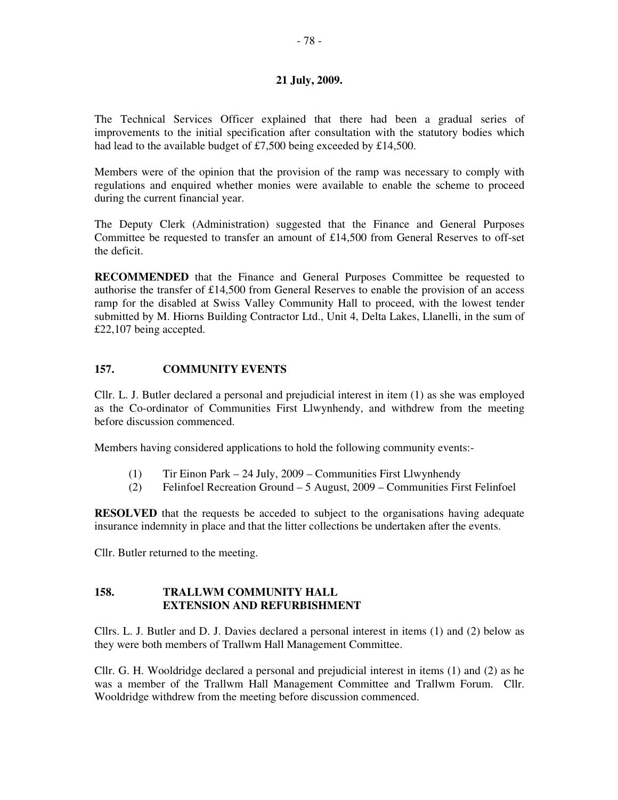The Technical Services Officer explained that there had been a gradual series of improvements to the initial specification after consultation with the statutory bodies which had lead to the available budget of £7,500 being exceeded by £14,500.

Members were of the opinion that the provision of the ramp was necessary to comply with regulations and enquired whether monies were available to enable the scheme to proceed during the current financial year.

The Deputy Clerk (Administration) suggested that the Finance and General Purposes Committee be requested to transfer an amount of  $£14,500$  from General Reserves to off-set the deficit.

**RECOMMENDED** that the Finance and General Purposes Committee be requested to authorise the transfer of £14,500 from General Reserves to enable the provision of an access ramp for the disabled at Swiss Valley Community Hall to proceed, with the lowest tender submitted by M. Hiorns Building Contractor Ltd., Unit 4, Delta Lakes, Llanelli, in the sum of £22,107 being accepted.

# **157. COMMUNITY EVENTS**

Cllr. L. J. Butler declared a personal and prejudicial interest in item (1) as she was employed as the Co-ordinator of Communities First Llwynhendy, and withdrew from the meeting before discussion commenced.

Members having considered applications to hold the following community events:-

- (1) Tir Einon Park 24 July, 2009 Communities First Llwynhendy
- (2) Felinfoel Recreation Ground 5 August, 2009 Communities First Felinfoel

**RESOLVED** that the requests be acceded to subject to the organisations having adequate insurance indemnity in place and that the litter collections be undertaken after the events.

Cllr. Butler returned to the meeting.

## **158. TRALLWM COMMUNITY HALL EXTENSION AND REFURBISHMENT**

Cllrs. L. J. Butler and D. J. Davies declared a personal interest in items (1) and (2) below as they were both members of Trallwm Hall Management Committee.

Cllr. G. H. Wooldridge declared a personal and prejudicial interest in items (1) and (2) as he was a member of the Trallwm Hall Management Committee and Trallwm Forum. Cllr. Wooldridge withdrew from the meeting before discussion commenced.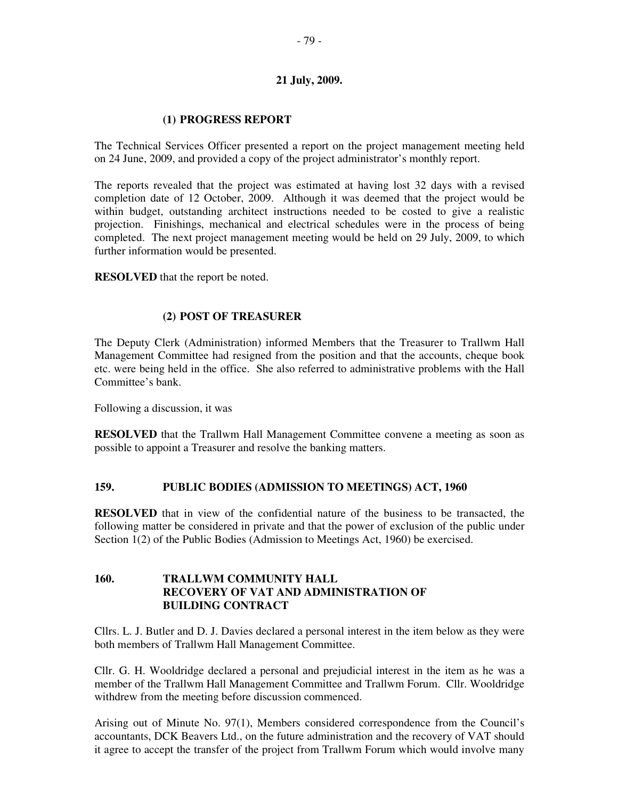# **(1) PROGRESS REPORT**

The Technical Services Officer presented a report on the project management meeting held on 24 June, 2009, and provided a copy of the project administrator's monthly report.

The reports revealed that the project was estimated at having lost 32 days with a revised completion date of 12 October, 2009. Although it was deemed that the project would be within budget, outstanding architect instructions needed to be costed to give a realistic projection. Finishings, mechanical and electrical schedules were in the process of being completed. The next project management meeting would be held on 29 July, 2009, to which further information would be presented.

**RESOLVED** that the report be noted.

# **(2) POST OF TREASURER**

The Deputy Clerk (Administration) informed Members that the Treasurer to Trallwm Hall Management Committee had resigned from the position and that the accounts, cheque book etc. were being held in the office. She also referred to administrative problems with the Hall Committee's bank.

Following a discussion, it was

**RESOLVED** that the Trallwm Hall Management Committee convene a meeting as soon as possible to appoint a Treasurer and resolve the banking matters.

## **159. PUBLIC BODIES (ADMISSION TO MEETINGS) ACT, 1960**

**RESOLVED** that in view of the confidential nature of the business to be transacted, the following matter be considered in private and that the power of exclusion of the public under Section 1(2) of the Public Bodies (Admission to Meetings Act, 1960) be exercised.

# **160. TRALLWM COMMUNITY HALL RECOVERY OF VAT AND ADMINISTRATION OF BUILDING CONTRACT**

Cllrs. L. J. Butler and D. J. Davies declared a personal interest in the item below as they were both members of Trallwm Hall Management Committee.

Cllr. G. H. Wooldridge declared a personal and prejudicial interest in the item as he was a member of the Trallwm Hall Management Committee and Trallwm Forum. Cllr. Wooldridge withdrew from the meeting before discussion commenced.

Arising out of Minute No. 97(1), Members considered correspondence from the Council's accountants, DCK Beavers Ltd., on the future administration and the recovery of VAT should it agree to accept the transfer of the project from Trallwm Forum which would involve many